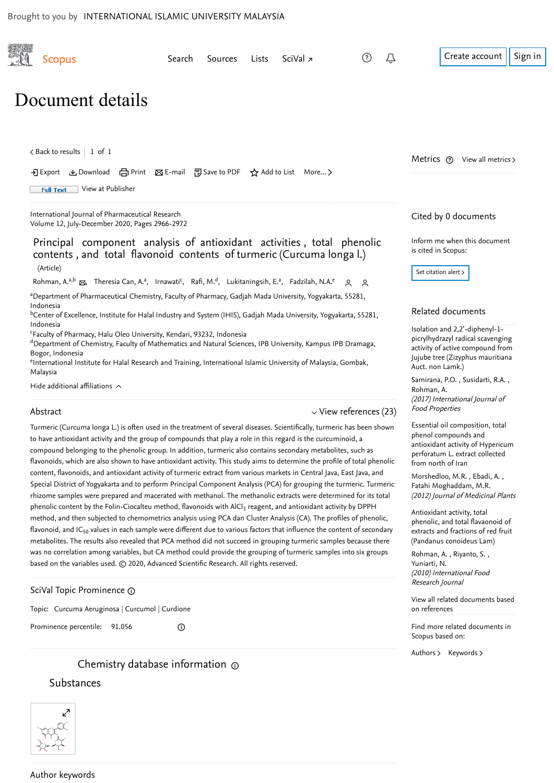

Find more related documents in Scopus based on:

[Authors](https://www-scopus-com.ezlib.iium.edu.my/search/submit/mlt.uri?eid=2-s2.0-85093872849&src=s&all=true&origin=recordpage&method=aut&zone=relatedDocuments) > [Keywords](https://www-scopus-com.ezlib.iium.edu.my/search/submit/mlt.uri?eid=2-s2.0-85093872849&src=s&all=true&origin=recordpage&method=key&zone=relatedDocuments) >

# Substances

Prominence percentile: 91.056

 $\odot$ 

Chemistry database information